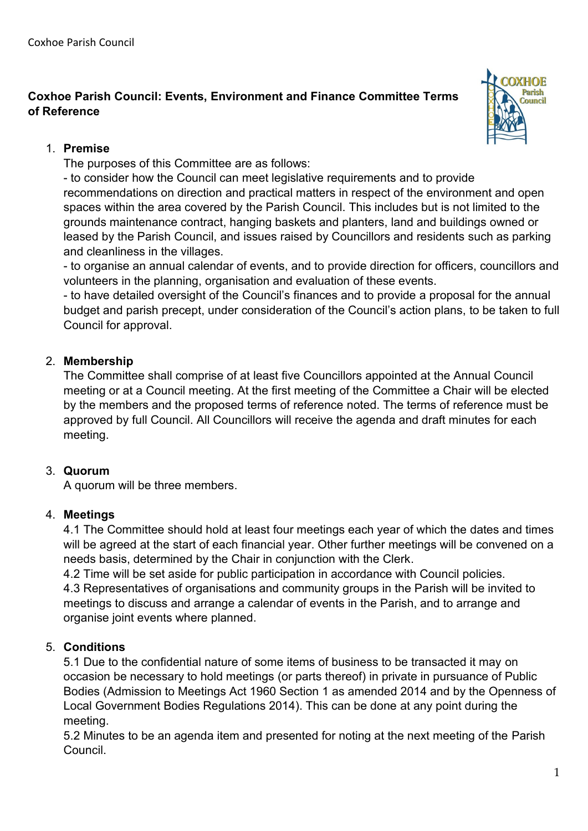**Coxhoe Parish Council: Events, Environment and Finance Committee Terms of Reference** 



## 1. **Premise**

The purposes of this Committee are as follows:

- to consider how the Council can meet legislative requirements and to provide recommendations on direction and practical matters in respect of the environment and open spaces within the area covered by the Parish Council. This includes but is not limited to the grounds maintenance contract, hanging baskets and planters, land and buildings owned or leased by the Parish Council, and issues raised by Councillors and residents such as parking and cleanliness in the villages.

- to organise an annual calendar of events, and to provide direction for officers, councillors and volunteers in the planning, organisation and evaluation of these events.

- to have detailed oversight of the Council's finances and to provide a proposal for the annual budget and parish precept, under consideration of the Council's action plans, to be taken to full Council for approval.

# 2. **Membership**

The Committee shall comprise of at least five Councillors appointed at the Annual Council meeting or at a Council meeting. At the first meeting of the Committee a Chair will be elected by the members and the proposed terms of reference noted. The terms of reference must be approved by full Council. All Councillors will receive the agenda and draft minutes for each meeting.

### 3. **Quorum**

A quorum will be three members.

# 4. **Meetings**

4.1 The Committee should hold at least four meetings each year of which the dates and times will be agreed at the start of each financial year. Other further meetings will be convened on a needs basis, determined by the Chair in conjunction with the Clerk.

4.2 Time will be set aside for public participation in accordance with Council policies. 4.3 Representatives of organisations and community groups in the Parish will be invited to meetings to discuss and arrange a calendar of events in the Parish, and to arrange and organise joint events where planned.

# 5. **Conditions**

5.1 Due to the confidential nature of some items of business to be transacted it may on occasion be necessary to hold meetings (or parts thereof) in private in pursuance of Public Bodies (Admission to Meetings Act 1960 Section 1 as amended 2014 and by the Openness of Local Government Bodies Regulations 2014). This can be done at any point during the meeting.

5.2 Minutes to be an agenda item and presented for noting at the next meeting of the Parish Council.